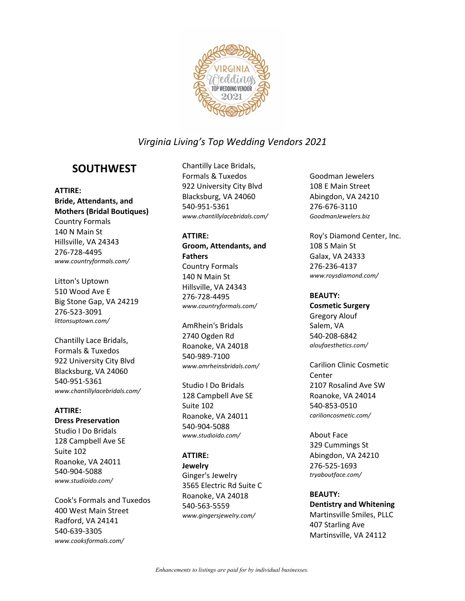

# **SOUTHWEST**

### **ATTIRE:**

**Bride, Attendants, and Mothers (Bridal Boutiques)** Country Formals 140 N Main St Hillsville, VA 24343 276-728-4495 *www.countryformals.com/*

Litton's Uptown 510 Wood Ave E Big Stone Gap, VA 24219 276-523-3091 *littonsuptown.com/*

Chantilly Lace Bridals, Formals & Tuxedos 922 University City Blvd Blacksburg, VA 24060 540-951-5361 *www.chantillylacebridals.com/*

## **ATTIRE:**

### **Dress Preservation**

Studio I Do Bridals 128 Campbell Ave SE Suite 102 Roanoke, VA 24011 540-904-5088 *www.studioido.com/*

Cook's Formals and Tuxedos 400 West Main Street Radford, VA 24141 540-639-3305 *www.cooksformals.com/*

Chantilly Lace Bridals, Formals & Tuxedos 922 University City Blvd Blacksburg, VA 24060 540-951-5361 *www.chantillylacebridals.com/*

### **ATTIRE:**

**Groom, Attendants, and Fathers** Country Formals 140 N Main St Hillsville, VA 24343 276-728-4495 *www.countryformals.com/*

AmRhein's Bridals 2740 Ogden Rd Roanoke, VA 24018 540-989-7100 *www.amrheinsbridals.com/*

Studio I Do Bridals 128 Campbell Ave SE Suite 102 Roanoke, VA 24011 540-904-5088 *www.studioido.com/*

# **ATTIRE:**

**Jewelry** Ginger's Jewelry 3565 Electric Rd Suite C Roanoke, VA 24018 540-563-5559 *www.gingersjewelry.com/*

Goodman Jewelers 108 E Main Street Abingdon, VA 24210 276-676-3110 *GoodmanJewelers.biz*

Roy's Diamond Center, Inc. 108 S Main St Galax, VA 24333 276-236-4137 *www.roysdiamond.com/*

### **BEAUTY:**

**Cosmetic Surgery** Gregory Alouf Salem, VA 540-208-6842 *aloufaesthetics.com/*

Carilion Clinic Cosmetic **Center** 2107 Rosalind Ave SW Roanoke, VA 24014 540-853-0510 *carilioncosmetic.com/*

About Face 329 Cummings St Abingdon, VA 24210 276-525-1693 *tryaboutface.com/*

**BEAUTY: Dentistry and Whitening** Martinsville Smiles, PLLC 407 Starling Ave Martinsville, VA 24112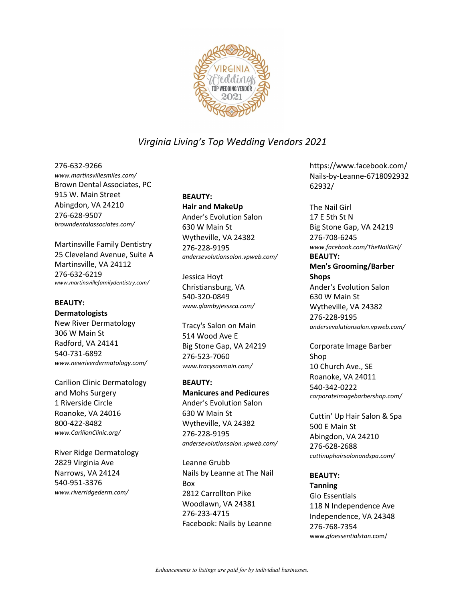

276-632-9266 *www.martinsvillesmiles.com/* Brown Dental Associates, PC 915 W. Main Street Abingdon, VA 24210 276-628-9507 *browndentalassociates.com/*

Martinsville Family Dentistry 25 Cleveland Avenue, Suite A Martinsville, VA 24112 276-632-6219 *www.martinsvillefamilydentistry.com/*

### **BEAUTY:**

**Dermatologists**

New River Dermatology 306 W Main St Radford, VA 24141 540-731-6892 *www.newriverdermatology.com/*

Carilion Clinic Dermatology and Mohs Surgery 1 Riverside Circle Roanoke, VA 24016 800-422-8482 *www.CarilionClinic.org/*

River Ridge Dermatology 2829 Virginia Ave Narrows, VA 24124 540-951-3376 *www.riverridgederm.com/*

### **BEAUTY:**

**Hair and MakeUp** Ander's Evolution Salon 630 W Main St Wytheville, VA 24382 276-228-9195 *andersevolutionsalon.vpweb.com/*

Jessica Hoyt Christiansburg, VA 540-320-0849 *www.glambyjesssca.com/*

Tracy's Salon on Main 514 Wood Ave E Big Stone Gap, VA 24219 276-523-7060 *www.tracysonmain.com/*

### **BEAUTY:**

**Manicures and Pedicures** Ander's Evolution Salon 630 W Main St Wytheville, VA 24382 276-228-9195 *andersevolutionsalon.vpweb.com/*

Leanne Grubb Nails by Leanne at The Nail Box 2812 Carrollton Pike Woodlawn, VA 24381 276-233-4715 Facebook: Nails by Leanne

https://www.facebook.com/ Nails-by-Leanne-6718092932 62932/

The Nail Girl 17 E 5th St N Big Stone Gap, VA 24219 276-708-6245 *www.facebook.com/TheNailGirl/* **BEAUTY: Men's Grooming/Barber Shops** Ander's Evolution Salon 630 W Main St Wytheville, VA 24382 276-228-9195

*andersevolutionsalon.vpweb.com/*

Corporate Image Barber Shop 10 Church Ave., SE Roanoke, VA 24011 540-342-0222 *corporateimagebarbershop.com/*

Cuttin' Up Hair Salon & Spa 500 E Main St Abingdon, VA 24210 276-628-2688 *cuttinuphairsalonandspa.com/*

### **BEAUTY:**

**Tanning** Glo Essentials 118 N Independence Ave Independence, VA 24348 276-768-7354 www.*gloessentialstan*.com/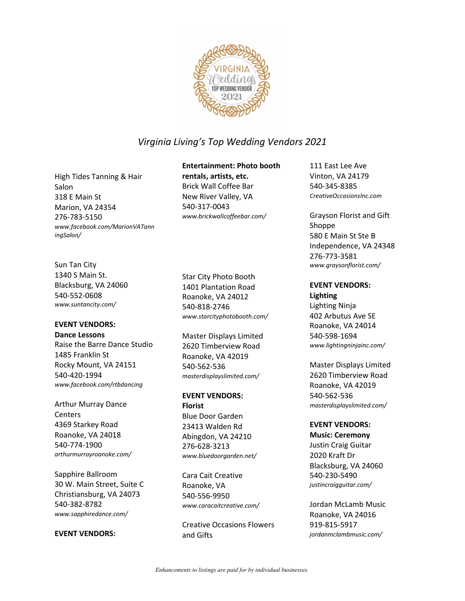

High Tides Tanning & Hair Salon 318 E Main St Marion, VA 24354 276-783-5150 *www.facebook.com/MarionVATann ingSalon/*

Sun Tan City 1340 S Main St. Blacksburg, VA 24060 540-552-0608 *www.suntancity.com/*

### **EVENT VENDORS:**

**Dance Lessons** Raise the Barre Dance Studio 1485 Franklin St Rocky Mount, VA 24151 540-420-1994 *www.facebook.com/rtbdancing*

Arthur Murray Dance **Centers** 4369 Starkey Road Roanoke, VA 24018 540-774-1900 *arthurmurrayroanoke.com/*

Sapphire Ballroom 30 W. Main Street, Suite C Christiansburg, VA 24073 540-382-8782 *www.sapphiredance.com/*

### **EVENT VENDORS:**

**Entertainment: Photo booth rentals, artists, etc.** Brick Wall Coffee Bar New River Valley, VA 540-317-0043 *www.brickwallcoffeebar.com/*

Star City Photo Booth 1401 Plantation Road Roanoke, VA 24012 540-818-2746 *www.starcityphotobooth.com/*

Master Displays Limited 2620 Timberview Road Roanoke, VA 42019 540-562-536 *masterdisplayslimited.com/*

**EVENT VENDORS: Florist**

Blue Door Garden 23413 Walden Rd Abingdon, VA 24210 276-628-3213 *www.bluedoorgarden.net/*

Cara Cait Creative Roanoke, VA 540-556-9950 *www.caracaitcreative.com/*

Creative Occasions Flowers and Gifts

111 East Lee Ave Vinton, VA 24179 540-345-8385 *CreativeOccasionsInc.com*

Grayson Florist and Gift Shoppe 580 E Main St Ste B Independence, VA 24348 276-773-3581 *www.graysonflorist.com/*

# **EVENT VENDORS:**

**Lighting** Lighting Ninja 402 Arbutus Ave SE Roanoke, VA 24014 540-598-1694 *www.lightingninjainc.com/*

Master Displays Limited 2620 Timberview Road Roanoke, VA 42019 540-562-536 *masterdisplayslimited.com/*

## **EVENT VENDORS:**

**Music: Ceremony** Justin Craig Guitar 2020 Kraft Dr Blacksburg, VA 24060 540-230-5490 *justincraigguitar.com/*

Jordan McLamb Music Roanoke, VA 24016 919-815-5917 *jordanmclambmusic.com/*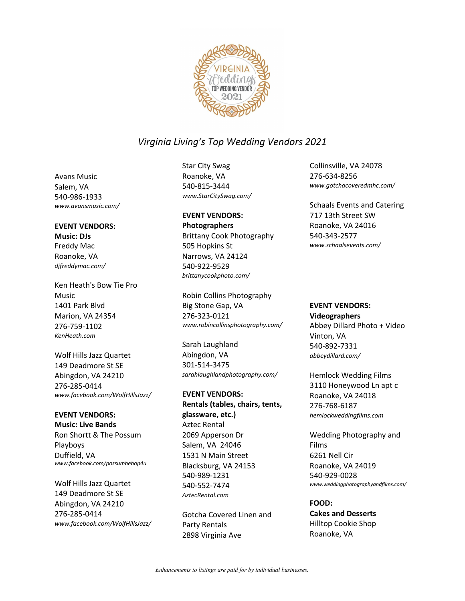

Avans Music Salem, VA 540-986-1933 *www.avansmusic.com/*

#### **EVENT VENDORS:**

**Music: DJs** Freddy Mac Roanoke, VA *djfreddymac.com/*

Ken Heath's Bow Tie Pro **Music** 1401 Park Blvd Marion, VA 24354 276-759-1102 *KenHeath.com*

Wolf Hills Jazz Quartet 149 Deadmore St SE Abingdon, VA 24210 276-285-0414 *www.facebook.com/WolfHillsJazz/*

# **EVENT VENDORS:**

**Music: Live Bands** Ron Shortt & The Possum Playboys Duffield, VA *www.facebook.com/possumbebop4u*

Wolf Hills Jazz Quartet 149 Deadmore St SE Abingdon, VA 24210 276-285-0414 *www.facebook.com/WolfHillsJazz/* Star City Swag Roanoke, VA 540-815-3444 *www.StarCitySwag.com/*

**EVENT VENDORS: Photographers** Brittany Cook Photography 505 Hopkins St Narrows, VA 24124 540-922-9529 *brittanycookphoto.com/*

Robin Collins Photography Big Stone Gap, VA 276-323-0121 *www.robincollinsphotography.com/*

Sarah Laughland Abingdon, VA 301-514-3475 *sarahlaughlandphotography.com/*

**EVENT VENDORS:**

**Rentals (tables, chairs, tents, glassware, etc.)** Aztec Rental 2069 Apperson Dr Salem, VA 24046 1531 N Main Street Blacksburg, VA 24153 540-989-1231 540-552-7474 *AztecRental.com*

Gotcha Covered Linen and Party Rentals 2898 Virginia Ave

Collinsville, VA 24078 276-634-8256 *www.gotchacoveredmhc.com/*

Schaals Events and Catering 717 13th Street SW Roanoke, VA 24016 540-343-2577 *www.schaalsevents.com/*

### **EVENT VENDORS:**

**Videographers** Abbey Dillard Photo + Video Vinton, VA 540-892-7331 *abbeydillard.com/*

Hemlock Wedding Films 3110 Honeywood Ln apt c Roanoke, VA 24018 276-768-6187 *hemlockweddingfilms.com*

Wedding Photography and Films 6261 Nell Cir Roanoke, VA 24019 540-929-0028 *www.weddingphotographyandfilms.com/*

**FOOD: Cakes and Desserts** Hilltop Cookie Shop Roanoke, VA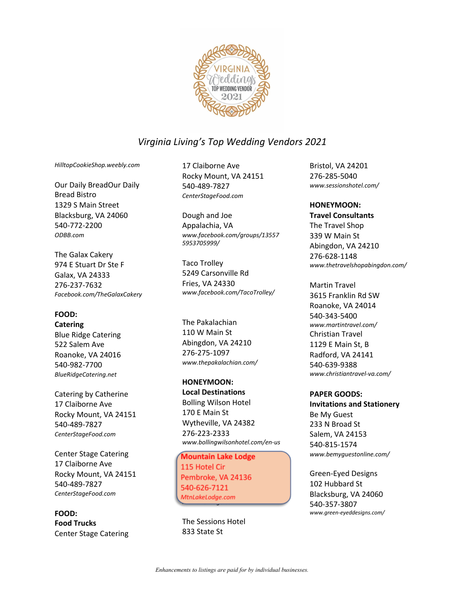

*HilltopCookieShop.weebly.com*

Our Daily BreadOur Daily Bread Bistro 1329 S Main Street Blacksburg, VA 24060 540-772-2200 *ODBB.com*

The Galax Cakery 974 E Stuart Dr Ste F Galax, VA 24333 276-237-7632 *Facebook.com/TheGalaxCakery*

## **FOOD:**

**Catering** Blue Ridge Catering 522 Salem Ave Roanoke, VA 24016 540-982-7700 *BlueRidgeCatering.net*

Catering by Catherine 17 Claiborne Ave Rocky Mount, VA 24151 540-489-7827 *CenterStageFood.com*

Center Stage Catering 17 Claiborne Ave Rocky Mount, VA 24151 540-489-7827 *CenterStageFood.com*

**FOOD: Food Trucks** Center Stage Catering

17 Claiborne Ave Rocky Mount, VA 24151 540-489-7827 *CenterStageFood.com*

Dough and Joe Appalachia, VA *www.facebook.com/groups/13557 5953705999/*

Taco Trolley 5249 Carsonville Rd Fries, VA 24330 *www.facebook.com/TacoTrolley/*

The Pakalachian 110 W Main St Abingdon, VA 24210 276-275-1097 *www.thepakalachian.com/*

**HONEYMOON: Local Destinations** Bolling Wilson Hotel 170 E Main St Wytheville, VA 24382 276-223-2333 *www.bollingwilsonhotel.com/en-us*

Mountain Lake Lodge<br>115 Hotel Cir 115 Hotel Cir<br>Dembrate 374 Pembroke, VA 24136<br>PAO COC 7404 540-020-7121<br>Mtolekolodea co *MtnLakeLodge.com*

The Sessions Hotel 833 State St

Bristol, VA 24201 276-285-5040 *www.sessionshotel.com/*

**HONEYMOON: Travel Consultants** The Travel Shop 339 W Main St Abingdon, VA 24210 276-628-1148 *www.thetravelshopabingdon.com/*

Martin Travel 3615 Franklin Rd SW Roanoke, VA 24014 540-343-5400 *www.martintravel.com/* Christian Travel 1129 E Main St, B Radford, VA 24141 540-639-9388 *www.christiantravel-va.com/*

**PAPER GOODS: Invitations and Stationery** Be My Guest 233 N Broad St Salem, VA 24153 540-815-1574 *www.bemyguestonline.com/*

Green-Eyed Designs 102 Hubbard St Blacksburg, VA 24060 540-357-3807 *www.green-eyeddesigns.com/*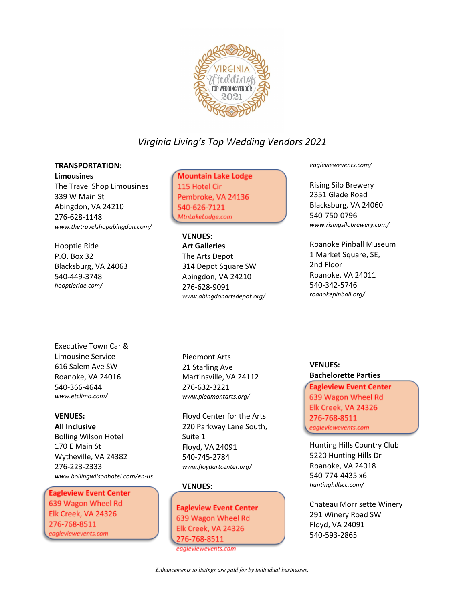

## **TRANSPORTATION:**

**Limousines** The Travel Shop Limousines 339 W Main St Abingdon, VA 24210 276-628-1148 *www.thetravelshopabingdon.com/*

Hooptie Ride P.O. Box 32 Blacksburg, VA 24063 540-449-3748 *hooptieride.com/*

Mountain Lake Lodge 115 Hotel Cir Pembroke, VA 24136 540-626-7121

 $M$ tnLakeLodge.com

**VENUES: Art Galleries** The Arts Depot 314 Depot Square SW Abingdon, VA 24210 276-628-9091 *www.abingdonartsdepot.org/* *eagleviewevents.com/*

Rising Silo Brewery 2351 Glade Road Blacksburg, VA 24060 540-750-0796 *www.risingsilobrewery.com/*

Roanoke Pinball Museum 1 Market Square, SE, 2nd Floor Roanoke, VA 24011 540-342-5746 *roanokepinball.org/*

Executive Town Car & Limousine Service 616 Salem Ave SW Roanoke, VA 24016 540-366-4644 *www.etclimo.com/*

## **VENUES:**

**All Inclusive** Bolling Wilson Hotel 170 E Main St Wytheville, VA 24382 276-223-2333 *www.bollingwilsonhotel.com/en-us*

Eagleview Event Center 639 Wagon Wheel Rd Elk Creek, VA 24326 276-768-8511 *eagleviewevents.com/*

Piedmont Arts 21 Starling Ave Martinsville, VA 24112 276-632-3221 *www.piedmontarts.org/*

Floyd Center for the Arts 220 Parkway Lane South, Suite 1 Floyd, VA 24091 540-745-2784 *www.floydartcenter.org/*

## **VENUES:**

Eagleview Event Center 639 Wagon Wheel Rd Elk Creek, VA 24326 276-768-8511 eagleviewevents.com

**VENUES:**

**Bachelorette Parties**

Eagleview Event Center 639 Wagon Wheel Rd Elk Creek, VA 24326 276-768-8511 *eagleviewevents.com/*

Hunting Hills Country Club 5220 Hunting Hills Dr Roanoke, VA 24018 540-774-4435 x6 *huntinghillscc.com/*

Chateau Morrisette Winery 291 Winery Road SW Floyd, VA 24091 540-593-2865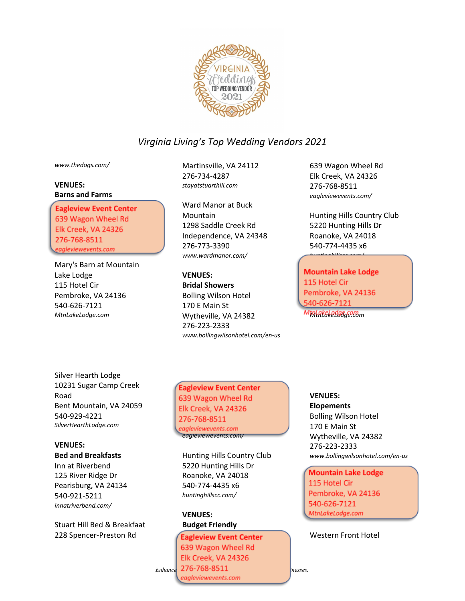

*www.thedogs.com/*

## **VENUES: Barns and Farms**

Eagleview Event Center 639 Wagon Wheel Rd Elk Creek, VA 24326 276-768-8511 *eagleviewevents.com/*

Mary's Barn at Mountain Lake Lodge 115 Hotel Cir Pembroke, VA 24136 540-626-7121 *MtnLakeLodge.com*

Martinsville, VA 24112 276-734-4287 *stayatstuarthill.com*

Ward Manor at Buck Mountain 1298 Saddle Creek Rd Independence, VA 24348 276-773-3390 *www.wardmanor.com/*

**VENUES: Bridal Showers** Bolling Wilson Hotel 170 E Main St Wytheville, VA 24382 276-223-2333 *www.bollingwilsonhotel.com/en-us* 639 Wagon Wheel Rd Elk Creek, VA 24326 276-768-8511 *eagleviewevents.com/*

Hunting Hills Country Club 5220 Hunting Hills Dr Roanoke, VA 24018 540-774-4435 x6 *huntinghillscc.com/*

Mountain Lake Lodge 115 Hotel Cir Pembroke, VA 24136 540-626-7121

*MtnLakeLodge.com*

Silver Hearth Lodge 10231 Sugar Camp Creek Road Bent Mountain, VA 24059 540-929-4221 *SilverHearthLodge.com*

## **VENUES:**

#### **Bed and Breakfasts**

Inn at Riverbend 125 River Ridge Dr Pearisburg, VA 24134 540-921-5211 *innatriverbend.com/*

Stuart Hill Bed & Breakfaat 228 Spencer-Preston Rd

Eagleview Event Center 639 Wagon Wheel Rd Elk Creek, VA 24326 276-768-8511 eagleviewevents.com *eagleviewevents.com/*

Hunting Hills Country Club 5220 Hunting Hills Dr Roanoke, VA 24018 540-774-4435 x6 *huntinghillscc.com/*

### **VENUES: Budget Friendly**

## Eagleview Event Center 639 Wagon Wheel Rd Elk Creek, VA 24326 *Enhance* 276-768-8511 *perses.* eagleviewevents.com

## **VENUES:**

**Elopements** Bolling Wilson Hotel 170 E Main St Wytheville, VA 24382 276-223-2333 *www.bollingwilsonhotel.com/en-us*

Mountain Lake Lodge 115 Hotel Cir Pembroke, VA 24136 540-626-7121 *MtnLakeLodge.com*

## Western Front Hotel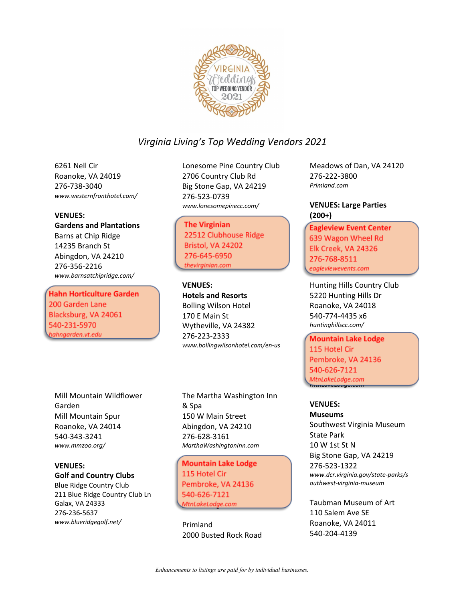

6261 Nell Cir Roanoke, VA 24019 276-738-3040 *www.westernfronthotel.com/*

### **VENUES:**

**Gardens and Plantations** Barns at Chip Ridge 14235 Branch St Abingdon, VA 24210 276-356-2216 *www.barnsatchipridge.com/*

Hahn Horticulture Garden 200 Garden Lane Blacksburg, VA 24061 540-231-5970 *hahngarden.vt.edu/*

Lonesome Pine Country Club 2706 Country Club Rd Big Stone Gap, VA 24219 276-523-0739 *www.lonesomepinecc.com/*

The Virginian 22512 Clubhouse Ridge Bristol, VA 24202 276-645-6950 *thevirginian.com/*

# **VENUES: Hotels and Resorts** Bolling Wilson Hotel

170 E Main St Wytheville, VA 24382 276-223-2333 *www.bollingwilsonhotel.com/en-us*

Mill Mountain Wildflower Garden Mill Mountain Spur Roanoke, VA 24014 540-343-3241 *www.mmzoo.org/*

**VENUES: Golf and Country Clubs** Blue Ridge Country Club 211 Blue Ridge Country Club Ln

Galax, VA 24333 276-236-5637 *www.blueridgegolf.net/* The Martha Washington Inn & Spa 150 W Main Street Abingdon, VA 24210 276-628-3161 *MarthaWashingtonInn.com*

Mountain Lake Lodge 115 Hotel Cir Pembroke, VA 24136 540-626-7121 *MtnLakeLodge.com*

Primland 2000 Busted Rock Road Meadows of Dan, VA 24120 276-222-3800 *Primland.com*

## **VENUES: Large Parties (200+)**

Eagleview Event Center 639 Wagon Wheel Rd Elk Creek, VA 24326 276-768-8511 *eagleviewevents.com/*

Hunting Hills Country Club 5220 Hunting Hills Dr Roanoke, VA 24018 540-774-4435 x6 *huntinghillscc.com/*

Mountain Lake Lodge<br>115 Hotel Cir Pembroke, VA 24136 540-626-7121 MtnLakeLodge.com *MtnLakeLodge.com*

## **VENUES:**

**Museums** Southwest Virginia Museum State Park 10 W 1st St N Big Stone Gap, VA 24219 276-523-1322 *www.dcr.virginia.gov/state-parks/s outhwest-virginia-museum*

Taubman Museum of Art 110 Salem Ave SE Roanoke, VA 24011 540-204-4139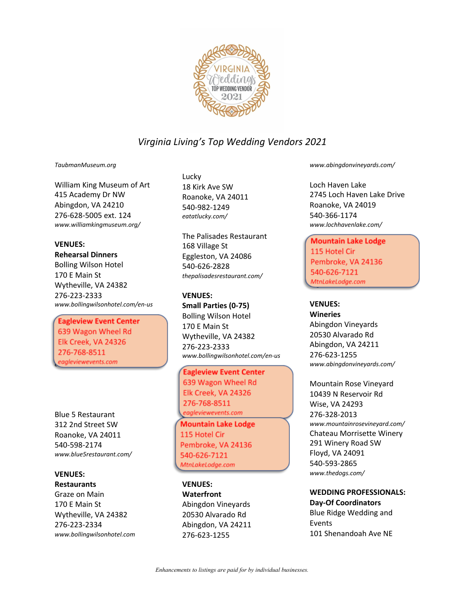

*TaubmanMuseum.org*

William King Museum of Art 415 Academy Dr NW Abingdon, VA 24210 276-628-5005 ext. 124 *www.williamkingmuseum.org/*

### **VENUES:**

**Rehearsal Dinners** Bolling Wilson Hotel 170 E Main St Wytheville, VA 24382 276-223-2333 *www.bollingwilsonhotel.com/en-us*

### Eagleview Event Center

639 Wagon Wheel Rd Elk Creek, VA 24326 276-768-8511 *eagleviewevents.com/*

Blue 5 Restaurant 312 2nd Street SW Roanoke, VA 24011 540-598-2174 *www.blue5restaurant.com/*

#### **VENUES: Restaurants**

Graze on Main 170 E Main St Wytheville, VA 24382 276-223-2334 *www.bollingwilsonhotel.com* Lucky 18 Kirk Ave SW Roanoke, VA 24011 540-982-1249 *eatatlucky.com/*

The Palisades Restaurant 168 Village St Eggleston, VA 24086 540-626-2828 *thepalisadesrestaurant.com/*

## **VENUES:**

**Small Parties (0-75)** Bolling Wilson Hotel 170 E Main St Wytheville, VA 24382 276-223-2333 *www.bollingwilsonhotel.com/en-us*

Eagleview Event Center 639 Wagon Wheel Rd Elk Creek, VA 24326 276-768-8511 *eagleviewevents.com/*

Mountain Lake Lodge 115 Hotel Cir Pembroke, VA 24136 540-626-7121 *MtnLakeLodge.com*

**VENUES: Waterfront** Abingdon Vineyards 20530 Alvarado Rd Abingdon, VA 24211 276-623-1255

*www.abingdonvineyards.com/*

Loch Haven Lake 2745 Loch Haven Lake Drive Roanoke, VA 24019 540-366-1174 *www.lochhavenlake.com/*

Mountain Lake Lodge 115 Hotel Cir Pembroke, VA 24136 540-626-7121  $M$ tnLakeLodge.com

## **VENUES:**

**Wineries** Abingdon Vineyards 20530 Alvarado Rd Abingdon, VA 24211 276-623-1255 *www.abingdonvineyards.com/*

Mountain Rose Vineyard 10439 N Reservoir Rd Wise, VA 24293 276-328-2013 *www.mountainrosevineyard.com/* Chateau Morrisette Winery 291 Winery Road SW Floyd, VA 24091 540-593-2865 *www.thedogs.com/*

**WEDDING PROFESSIONALS: Day-Of Coordinators** Blue Ridge Wedding and Events 101 Shenandoah Ave NE